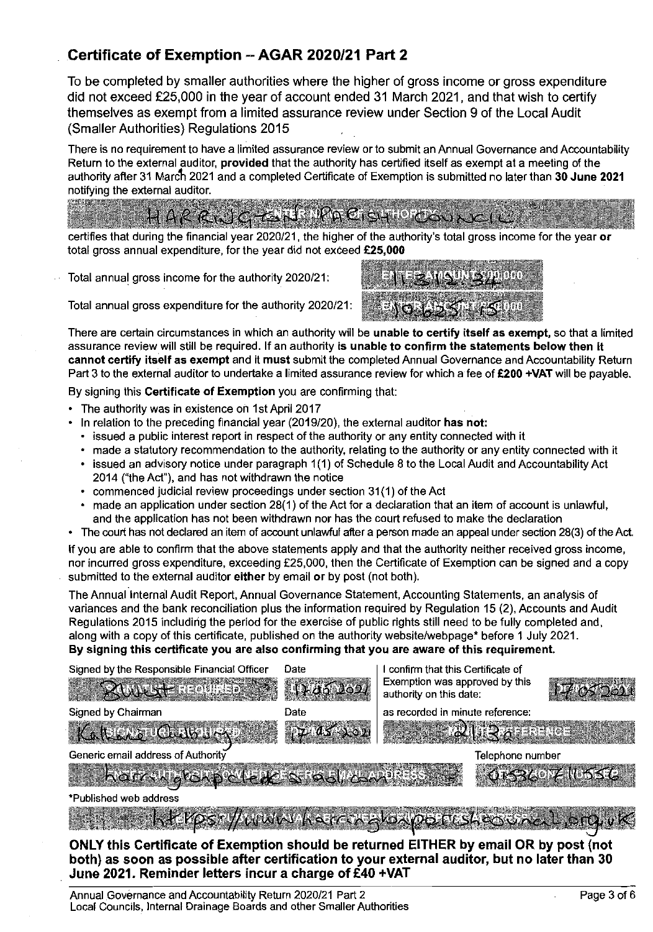# **Certificate of Exemption -AGAR 2020121 Part 2**

To be completed by smaller authorities where the higher of gross income or gross expenditure did not exceed £25,000 in the year of account ended 31 March 2021, and that wish to certify themselves as exempt from a limited assurance review under Section 9 of the Local Audit (Smaller Authorities) Regulations 2015

There is no requirement to have a limited assurance review or to submit an Annual Governance and Accountability Return to the external auditor, provided that the authority has certified itself as exempt at a meeting of the authority after 31 March 2021 and a completed Certificate of Exemption is submitted no later than 30 June 2021<br>notifying the external auditor.

# $HARR_{\text{ex}}$   $1678$   $R_{\text{B}}$   $1678$   $R_{\text{B}}$   $61910$   $R_{\text{B}}$

, . ., ... of the authority's total gross income for the year or total gross annual expenditure, for the year did not exceed £25.000

Total annual gross income for the authority 2020/21:



Total annual gross expenditure for the authority 2020/21:

There are certain circumstances in which an authority will be unable to certify itself as exempt, so that a limited assurance review will still be required. If an authority is unable to confirm the statements below then it cannot certify itself as exempt and it must submit the completed Annual Governance and Accountability Return Part 3 to the external auditor to undertake a limited assurance review for which a fee of £200 +VAT will be payable.

By signing this Certificate of Exemption you are confirming that:

- The authority was in existence on 1st April 2017
- In relation to the preceding financial year  $(2019/20)$ , the external auditor has not:
	- issued a public interest report in respect of the authority or any entity connected with it
	- made a statutory recommendation to the authority, relating to the authority or any entity connected with it
	- $\cdot$  issued an advisory notice under paragraph 1(1) of Schedule 8 to the Local Audit and Accountability Act 2014 ("the Act"), and has not withdrawn the notice
	- commenced judicial review proceedings under section 31(1) of the Act
	- made an application under section 28(1) of the Act for a declaration that an item of account is unlawful, and the application has not been withdrawn nor has the court refused to make the declaration
- The court has not declared an item of account unlawful afler a person made an appeal under section 28(3) of the Act.

If you are able to confirm that the above statements apply and that the authority neither received gross income, nor incurred gross expenditure, exceeding £25,000, then the Certificate of Exemption can be signed and a copy submitted to the external auditor either by email or by post (not both).

The Annual Internal Audit Report, Annual Governance Statement, Accounting Statements, an analysis of variances and the bank reconciliation plus the information required by Regulation 15 (2), Accounts and Audit Regulations 2015 including the period for the exercise of public rights still need to be fully completed and, along with a copy of this certificate, published on the authority websitelwebpage\* before 1 July 2021. By signing this certificate you are also confirming that you are aware of this requirement.

| Signed by the Responsible Financial Officer<br><b>ROULET REQUIRED AS</b> | Date<br>12352621 | I confirm that this Certificate of<br>Exemption was approved by this<br>authority on this date: |                       |
|--------------------------------------------------------------------------|------------------|-------------------------------------------------------------------------------------------------|-----------------------|
| Signed by Chairman                                                       | Date             | as recorded in minute reference:                                                                |                       |
| KAREAZ CLUBURY                                                           | 17714541021      | $\frac{1}{2}$ , is the series of $\frac{1}{2}$<br><b>Contractor</b>                             |                       |
| Generic email address of Authority                                       |                  | Telephone number                                                                                |                       |
| ROTY WORD CLEAR STOOL CANTER                                             |                  |                                                                                                 | <b>ISBEOVE NUSSES</b> |
| *Published web address                                                   |                  |                                                                                                 |                       |

**MARKET ANDER Y WWWWAKSECOX** 

**ONLY this Certificate of Exemption should be returned EITHER by email OR by post (not both) as soon as possible after certification to your external auditor, but no later than 30 June 2021. Reminder letters incur a charge of f40 +VAT**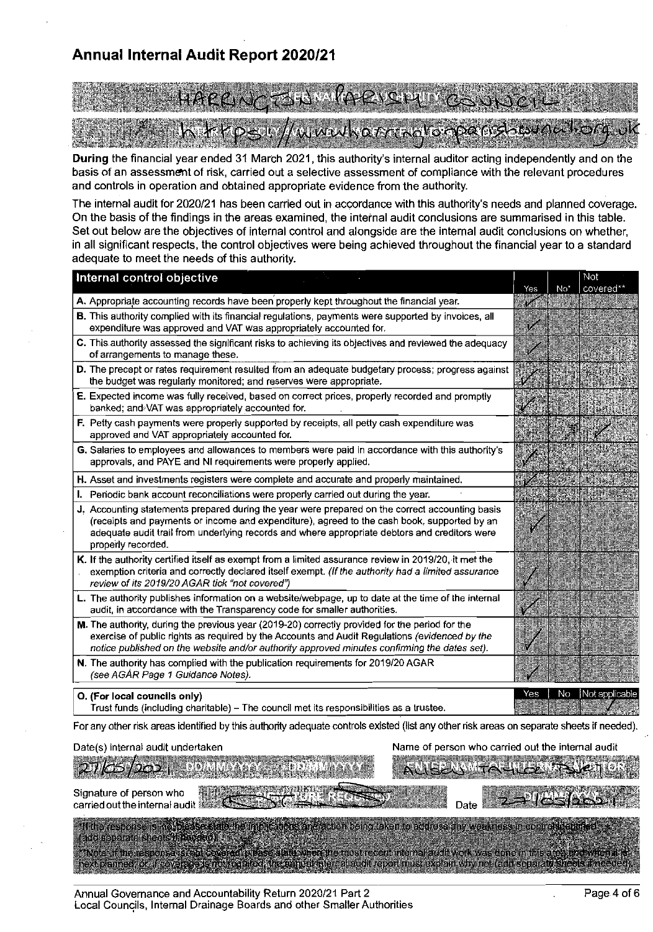# Annual Internal Audit Report 2020/21

# EN MARBAVCERIT h krps://wwwharmallorpand.sulellorg.

During the financial year ended 31 March 2021, this authority's internal auditor acting independently and on the basis of an assessment of risk, carried out a selective assessment of compliance with the relevant procedures and controls in operation and obtained appropriate evidence from the authority.

The internal audit for 2020/21 has been carried out in accordance with this authority's needs and planned coverage. On the basis of the findings in the areas examined, the internal audit conclusions are summarised in this table. Set out below are the objectives of internal control and alongside are the internal audit conclusions on whether, in all significant respects, the control objectives were being achieved throughout the financial year to a standard adequate to meet the needs of this authority.

| Internal control objective                                                                                                                                                                                                                                                                                            | Yes | No <sup>*</sup> | NOI<br>covered** |
|-----------------------------------------------------------------------------------------------------------------------------------------------------------------------------------------------------------------------------------------------------------------------------------------------------------------------|-----|-----------------|------------------|
| A. Appropriate accounting records have been properly kept throughout the financial year.                                                                                                                                                                                                                              | 746 |                 |                  |
| B. This authority complied with its financial regulations, payments were supported by invoices, all<br>expenditure was approved and VAT was appropriately accounted for.                                                                                                                                              | V   |                 |                  |
| C. This authority assessed the significant risks to achieving its objectives and reviewed the adequacy<br>of arrangements to manage these.                                                                                                                                                                            |     |                 |                  |
| D. The precept or rates requirement resulted from an adequate budgetary process; progress against<br>the budget was regularly monitored; and reserves were appropriate.                                                                                                                                               |     |                 |                  |
| E. Expected income was fully received, based on correct prices, properly recorded and promptly<br>banked; and VAT was appropriately accounted for.                                                                                                                                                                    |     |                 |                  |
| F. Petty cash payments were properly supported by receipts, all petty cash expenditure was<br>approved and VAT appropriately accounted for.                                                                                                                                                                           |     |                 |                  |
| G. Salaries to employees and allowances to members were paid in accordance with this authority's<br>approvals, and PAYE and NI requirements were properly applied.                                                                                                                                                    | ◈   |                 |                  |
| H. Asset and investments registers were complete and accurate and properly maintained.                                                                                                                                                                                                                                |     |                 |                  |
| I. Periodic bank account reconciliations were properly carried out during the year.                                                                                                                                                                                                                                   |     |                 |                  |
| J. Accounting statements prepared during the year were prepared on the correct accounting basis<br>(receipts and payments or income and expenditure), agreed to the cash book, supported by an<br>adequate audit trail from underlying records and where appropriate debtors and creditors were<br>properly recorded. |     |                 |                  |
| K. If the authority certified itself as exempt from a limited assurance review in 2019/20, it met the<br>exemption criteria and correctly declared itself exempt. (If the authority had a limited assurance<br>review of its 2019/20 AGAR tick "not covered")                                                         |     |                 |                  |
| L. The authority publishes information on a website/webpage, up to date at the time of the internal<br>audit, in accordance with the Transparency code for smaller authorities.                                                                                                                                       |     |                 |                  |
| M. The authority, during the previous year (2019-20) correctly provided for the period for the<br>exercise of public rights as required by the Accounts and Audit Regulations (evidenced by the<br>notice published on the website and/or authority approved minutes confirming the dates set).                       |     |                 |                  |
| N. The authority has complied with the publication requirements for 2019/20 AGAR<br>(see AGAR Page 1 Guidance Notes).                                                                                                                                                                                                 |     |                 |                  |
| O. (For local councils only)<br>Trust funds (including charitable) – The council met its responsibilities as a trustee.                                                                                                                                                                                               | Yes | No              | Not applicable   |
| For any other risk areas identified by this authority adequate controls existed (list any other risk areas on separate sheets if needed).                                                                                                                                                                             |     |                 |                  |

| ALLEEN FALLER TENCH<br>inne a a <del>ait</del> h neith na a<br>orginature or person who the research of the second with the second with the second of the second second second<br>carried out the internal audit with the second second second second second second second second second second<br>Date 2 PICSIONS<br>"If the response is no blease state the implications and action being taken to address any weakness in commet telephone and | Date(s) internai audit undertaken.       | Name or person who carried out the internal audit |
|---------------------------------------------------------------------------------------------------------------------------------------------------------------------------------------------------------------------------------------------------------------------------------------------------------------------------------------------------------------------------------------------------------------------------------------------------|------------------------------------------|---------------------------------------------------|
|                                                                                                                                                                                                                                                                                                                                                                                                                                                   | 2765/2021                                |                                                   |
|                                                                                                                                                                                                                                                                                                                                                                                                                                                   |                                          |                                                   |
| Thole: If the resconse is the covered obase state when the most recent internal audit work was done in this archaeolowich is a<br>Thexcolanned, or all covactes's mobile drive change internal cubit report musicization why not (ach scribited streds in reeded).                                                                                                                                                                                | <b>Taba separate sheets it heeded if</b> |                                                   |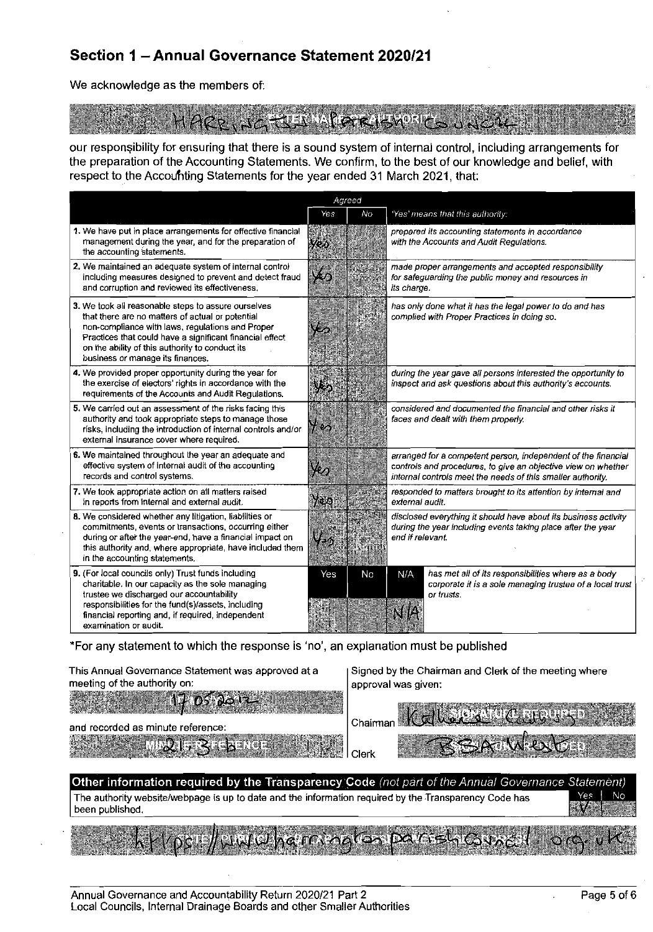# Section 1 - Annual Governance Statement 2020/21

We acknowledge as the members of:

10 D

our responsibility for ensuring that there is a sound system of internal control, including arrangements for the preparation of the Accounting Statements. We confirm, to the best of our knowledge and belief, with respect to the Accounting Statements for the year ended 31 March 2021, that:

| Agreed                                                                                                                                                                                                                                                                                                         |                                        |    |                                                                                                                                                                                               |  |
|----------------------------------------------------------------------------------------------------------------------------------------------------------------------------------------------------------------------------------------------------------------------------------------------------------------|----------------------------------------|----|-----------------------------------------------------------------------------------------------------------------------------------------------------------------------------------------------|--|
|                                                                                                                                                                                                                                                                                                                | Yes                                    | No | 'Yes' means that this authority:                                                                                                                                                              |  |
| 1. We have put in place arrangements for effective financial<br>management during the year, and for the preparation of<br>the accounting statements.                                                                                                                                                           | Web                                    |    | prepared its accounting statements in accordance<br>with the Accounts and Audit Regulations.                                                                                                  |  |
| 2. We maintained an adequate system of internal control<br>including measures designed to prevent and detect fraud<br>and corruption and reviewed its effectiveness,                                                                                                                                           | رئيلا                                  |    | made proper arrangements and accepted responsibility<br>for safeguarding the public money and resources in<br>its charge.                                                                     |  |
| 3. We took all reasonable steps to assure ourselves<br>that there are no matters of actual or potential<br>non-compliance with laws, regulations and Proper<br>Practices that could have a significant financial effect<br>on the ability of this authority to conduct its<br>business or manage its finances. |                                        |    | has only done what it has the legal power to do and has<br>complied with Proper Practices in doing so.                                                                                        |  |
| 4. We provided proper opportunity during the year for<br>the exercise of electors' rights in accordance with the<br>requirements of the Accounts and Audit Regulations.                                                                                                                                        | V. 8                                   |    | during the year gave all persons interested the opportunity to<br>inspect and ask questions about this authority's accounts.                                                                  |  |
| 5. We carried out an assessment of the risks facing this<br>authority and took appropriate steps to manage those<br>risks, including the introduction of internal controls and/or<br>external insurance cover where required.                                                                                  | $\mathcal{H}(\mathcal{O}_\mathcal{O})$ |    | considered and documented the financial and other risks it<br>faces and dealt with them properly.                                                                                             |  |
| 6. We maintained throughout the year an adequate and<br>effective system of internal audit of the accounting<br>records and control systems.                                                                                                                                                                   | Ya                                     |    | arranged for a competent person, independent of the financial<br>controls and procedures, to give an objective view on whether<br>internal controls meet the needs of this smaller authority. |  |
| 7. We took appropriate action on all matters raised<br>in reports from internal and external audit.                                                                                                                                                                                                            | $\gamma_{0.5}$                         |    | responded to matters brought to its attention by internal and<br>external audit.                                                                                                              |  |
| 8. We considered whether any litigation, liabilities or<br>commitments, events or transactions, occurring either<br>during or after the year-end, have a financial impact on<br>this authority and, where appropriate, have included them<br>in the accounting statements.                                     | $V_{\cdot}$                            |    | disclosed everything it should have about its business activity<br>during the year including events taking place after the year<br>end if relevant.                                           |  |
| 9. (For local councils only) Trust funds including<br>charitable. In our capacity as the sole managing<br>trustee we discharged our accountability<br>responsibilities for the fund(s)/assets, including<br>financial reporting and, if required, independent<br>examination or audit.                         | Yes                                    | No | has met all of its responsibilities where as a body<br>N/A<br>corporate it is a sole managing trustee of a local trust<br>or musts.                                                           |  |

\*For any statement to which the response is 'no', an explanation must be published

This Annual Governance Statement was approved at a meeting of the authority on:

and recorded as minute reference:

**TYPE** 

DS. βØ Signed by the Chairman and Clerk of the meeting where approval was given:

| ∾<br>82              | ำhairman |  |
|----------------------|----------|--|
| Tanta de<br>i.<br>22 |          |  |

Other information required by the Transparency Code (not part of the Annual Governance Statement) The authority website/webpage is up to date and the information required by the Transparency Code has Yes been published.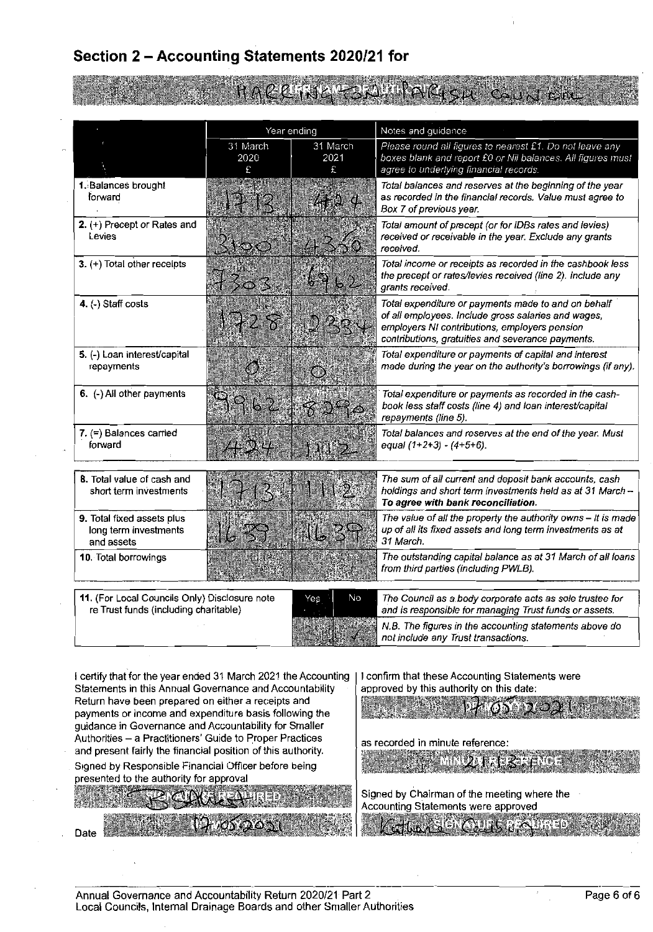# Section 2 - Accounting Statements 2020/21 for

Year ending Notes and guidance 31 March 31 March Please round all figures to nearest £1. Do not leave any boxes blank and report £0 or Nil balances. All figures must 2021 2020  $\mathcal{L}$ agree to underlying financial records. c 1. Balances brought Total balances and reserves at the beginning of the year forward as recorded in the financial records. Value must agree to Box 7 of previous vear.  $2.$  (+) Precept or Rates and Total amount of precept (or for IDBs rates and levies) Levies received or receivable in the year. Exclude any grants received. Total income or receipts as recorded in the cashbook less 3. (+) Total other receipts the precept or rates/levies received (line 2). Include any grants received. 4. (-) Staff costs Total expenditure or payments made to and on behalf of all employees. Include gross salaries and wages, employers NI contributions, employers pension contributions, gratuities and severance payments. Total expenditure or payments of capital and interest 5. (-) Loan interest/capital made during the year on the authority's borrowings (if any). repayments  $6.$  (-) All other payments Total expenditure or payments as recorded in the cashbook less staff costs (line 4) and loan interest/capital repayments (line 5).  $7.$  (=) Balances carried Total balances and reserves at the end of the year. Must forward equal  $(1+2+3) - (4+5+6)$ . 8. Total value of cash and The sum of all current and deposit bank accounts, cash short term investments holdings and short term investments held as at 31 March -To agree with bank reconciliation. The value of all the property the authority owns - it is made 9. Total fixed assets plus long term investments up of all its fixed assets and long term investments as at and assets 31 March. 10. Total borrowings The outstanding capital balance as at 31 March of all loans from third parties (including PWLB). 11. (For Local Councils Only) Disclosure note No The Council as a body corporate acts as sole trustee for Yes re Trust funds (including charitable) and is responsible for managing Trust funds or assets. N.B. The figures in the accounting statements above do not include any Trust transactions. I certify that for the year ended 31 March 2021 the Accounting I confirm that these Accounting Statements were

Statements in this Annual Governance and Accountability Return have been prepared on either a receipts and payments or income and expenditure basis following the guidance in Governance and Accountability for Smaller Authorities - a Practitioners' Guide to Proper Practices and present fairly the financial position of this authority. Signed by Responsible Financial Officer before being

presented to the authority for approval

approved by this authority on this date:

as recorded in minute reference:

 $\mathbb{Z} \times \mathbb{Z}$ 

Οð

Signed by Chairman of the meeting where the Accounting Statements were approved

Date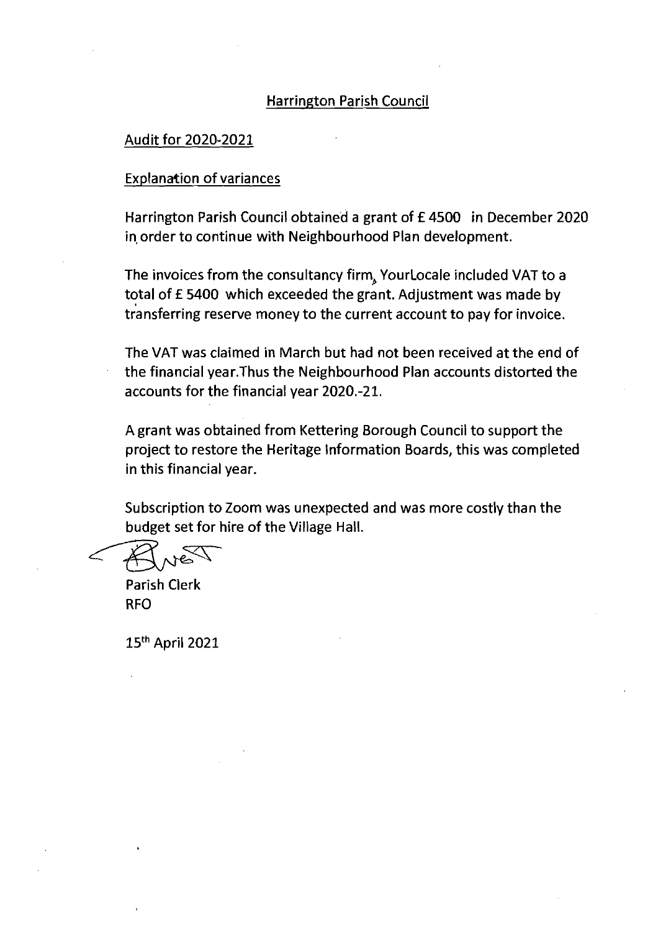### Harrington Parish Council

#### Audit for 2020-2021

#### Explanation of variances

Harrington Parish Council obtained a grant of £4500 in December 2020 in order to continue with Neighbourhood Plan development.

The invoices from the consultancy firm, Yourlocale included VAT to a total of £5400 which exceeded the grant. Adjustment was made by transferring reserve money to the current account to pay for invoice.

The VAT was claimed in March but had not been received at the end of the financial year.Thus the Neighbourhood Plan accounts distorted the accounts for the financial year 2020.-21.

Agrant was obtained from Kettering Borough Council to support the project to restore the Heritage Information Boards, this was completed in this financial year.

Subscription to Zoom was unexpected and was more costly than the budget set for hire of the Village Hall.

Parish Clerk RFO

15th April 2021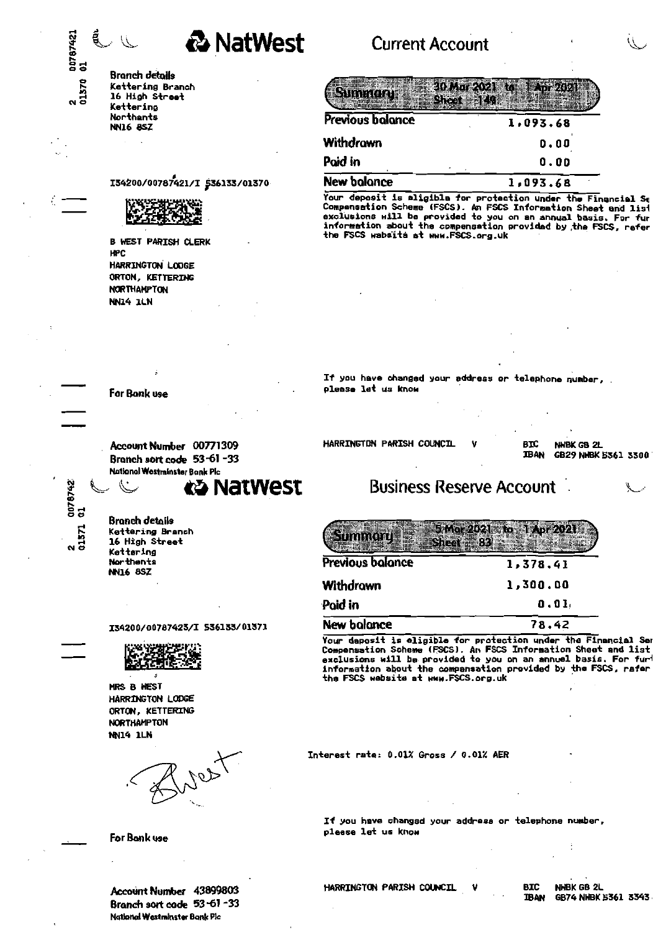

# **Current Account**

| Previous balance    | 1,093.68 |  |  |
|---------------------|----------|--|--|
| Nithdrawn           | 0.00     |  |  |
| <sup>d</sup> oid in | 0.00     |  |  |
| New balance         | 1,093.68 |  |  |

Your deposit is aligible for protection under the Financial St<br>Compansation Scheme (FSCS). An FSCS Information Sheet and list<br>exclusions will be provided to you on an annual basis. For fur<br>information about the compensatio the FSCS wabsita at www.FSCS.org.uk

If you have changed your address or telephone number, please let us know

HARRINGTON PARISH COUNCIL

**BIC** NHBK GB 2L GB29 NHBK 5361 3300 **TBAN** 

y

# **Business Reserve Account**

| Previous balance   | 1,378.41 |
|--------------------|----------|
| Withdrawn          | 1,300.00 |
| Poid in            | 0.01     |
| <b>New balance</b> | 78,42    |

Your deposit is eligible for protection under the Financial Sen Compensation Scheme (FSCS). An FSCS Information Sheet and list<br>exclusions will be provided to you on an annuel basis. For furt information about the compansation provided by the FSCS, rafer the FSCS website at www.FSCS.org.uk

Interest rate: 0.01% Gross / 0.01% AER

If you have changed your address or telephone number, pleese let us know

**Branch details** Kettering Branch 16 High Street Kettering Northants **NN16 8SZ** 

00767421<br>01

2<br>01370

I34200/00787421/I \$36133/01370

**B WEST PARISH CLERK HPC** HARRINGTON LODGE ORTON, KETTERING **NORTHAMPTON NN14 1LN** 

For Bonk use

じ

**NN16 8SZ** 

Account Number 00771309 Branch sort code 53-61-33 **National Westminster Bank Plc** 

ca Natwest

0078742<br>01 2<br>01571

**Bronch details** Kettering Branch 16 High Street Kettering Northents

I34200/00787423/I 536133/01371



MRS B HEST HARRINGTON LODGE ORTON, KETTERING **NORTHAMPTON NN14 1LN** 

For Bank use

Account Number 43899803 Branch sort code 53-61-33 National Westminster Bank Plc

HARRINGTON PARISH COUNCIL

**BIC** NHBK GB 2L GB74 NHBK 5361 3343 **TBAN**